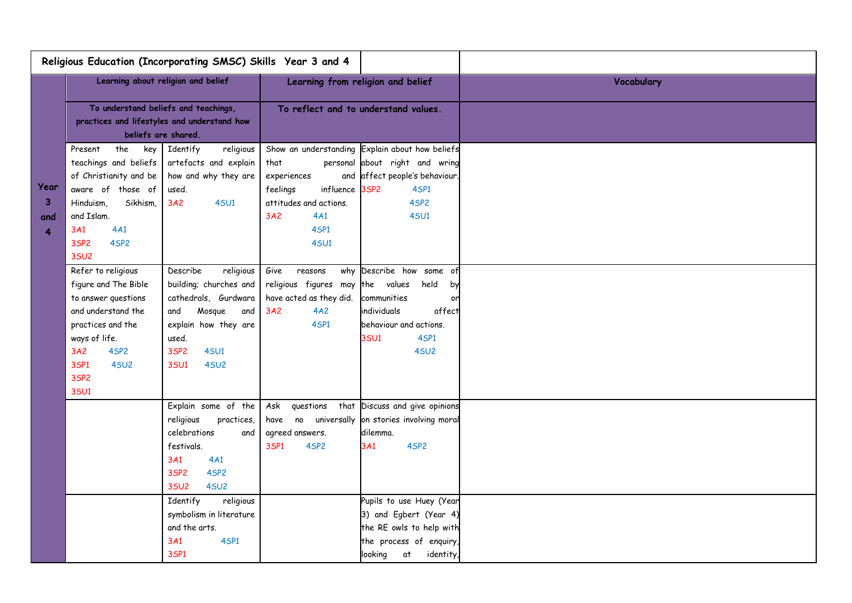|                                  |                                                                                                                                                                                               | Religious Education (Incorporating SMSC) Skills Year 3 and 4                                                                                                                        |                                                                                                                  |                                                                                                                                                                         |            |
|----------------------------------|-----------------------------------------------------------------------------------------------------------------------------------------------------------------------------------------------|-------------------------------------------------------------------------------------------------------------------------------------------------------------------------------------|------------------------------------------------------------------------------------------------------------------|-------------------------------------------------------------------------------------------------------------------------------------------------------------------------|------------|
|                                  |                                                                                                                                                                                               | Learning about religion and belief                                                                                                                                                  |                                                                                                                  | Learning from religion and belief                                                                                                                                       | Vocabulary |
|                                  | To understand beliefs and teachings,<br>practices and lifestyles and understand how<br>beliefs are shared.                                                                                    |                                                                                                                                                                                     | To reflect and to understand values.                                                                             |                                                                                                                                                                         |            |
| Year<br>$\mathbf{3}$<br>and<br>4 | the<br>key<br>Present<br>teachings and beliefs<br>of Christianity and be<br>aware of those of<br>Sikhism,<br>Hinduism.<br>and Islam.<br>4A1<br>3A1<br>4SP2<br>3SP <sub>2</sub><br><b>35U2</b> | Identify<br>religious<br>artefacts and explain<br>how and why they are<br>used.<br>3A2<br><b>4SU1</b>                                                                               | that<br>experiences<br>feelings<br>influence 3SP2<br>attitudes and actions.<br>4A1<br>3A2<br>4SP1<br><b>4SU1</b> | Show an understanding Explain about how beliefs<br>personal about right and wring<br>and affect people's behaviour.<br>4SP1<br>4SP <sub>2</sub><br><b>4SU1</b>          |            |
|                                  | Refer to religious<br>figure and The Bible<br>to answer questions<br>and understand the<br>practices and the<br>ways of life.<br>4SP2<br>3A2<br>3SP1<br>4SU <sub>2</sub><br>3SP2<br>3SU1      | Describe<br>religious<br>building; churches and<br>cathedrals, Gurdwara<br>Mosque<br>and<br>and<br>explain how they are<br>used.<br>3SP2<br><b>4SU1</b><br>3SU1<br>4SU <sub>2</sub> | Give<br>reasons<br>religious figures may<br>have acted as they did.<br>3A2<br>4A2<br>4SP1                        | why Describe how some of<br>the values<br>held<br>by<br>communities<br>or<br>individuals<br>affect<br>behaviour and actions.<br><b>3SU1</b><br>4SP1<br>4SU <sub>2</sub> |            |
|                                  |                                                                                                                                                                                               | Explain some of the<br>religious<br>practices,<br>celebrations<br>and<br>festivals.<br>3A1<br>4A1<br>3SP2<br>4SP <sub>2</sub><br><b>35U2</b><br>4SU <sub>2</sub>                    | Ask<br>questions<br>agreed answers.<br>3SP1<br>4SP2                                                              | that Discuss and give opinions<br>have no universally on stories involving moral<br>dilemma.<br>4SP2<br>3A1                                                             |            |
|                                  |                                                                                                                                                                                               | Identify<br>religious<br>symbolism in literature<br>and the arts.<br>3A1<br>4SP1<br>3SP1                                                                                            |                                                                                                                  | Pupils to use Huey (Year<br>3) and Egbert (Year 4)<br>the RE owls to help with<br>the process of enquiry,<br>looking<br>at<br>identity,                                 |            |